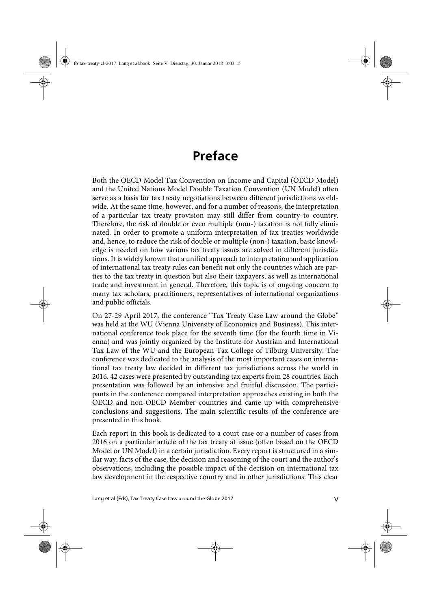## **Preface**

Both the OECD Model Tax Convention on Income and Capital (OECD Model) and the United Nations Model Double Taxation Convention (UN Model) often serve as a basis for tax treaty negotiations between different jurisdictions worldwide. At the same time, however, and for a number of reasons, the interpretation of a particular tax treaty provision may still differ from country to country. Therefore, the risk of double or even multiple (non-) taxation is not fully eliminated. In order to promote a uniform interpretation of tax treaties worldwide and, hence, to reduce the risk of double or multiple (non-) taxation, basic knowledge is needed on how various tax treaty issues are solved in different jurisdictions. It is widely known that a unified approach to interpretation and application of international tax treaty rules can benefit not only the countries which are parties to the tax treaty in question but also their taxpayers, as well as international trade and investment in general. Therefore, this topic is of ongoing concern to many tax scholars, practitioners, representatives of international organizations and public officials.

On 27-29 April 2017, the conference "Tax Treaty Case Law around the Globe" was held at the WU (Vienna University of Economics and Business). This international conference took place for the seventh time (for the fourth time in Vienna) and was jointly organized by the Institute for Austrian and International Tax Law of the WU and the European Tax College of Tilburg University. The conference was dedicated to the analysis of the most important cases on international tax treaty law decided in different tax jurisdictions across the world in 2016. 42 cases were presented by outstanding tax experts from 28 countries. Each presentation was followed by an intensive and fruitful discussion. The participants in the conference compared interpretation approaches existing in both the OECD and non-OECD Member countries and came up with comprehensive conclusions and suggestions. The main scientific results of the conference are presented in this book.

Each report in this book is dedicated to a court case or a number of cases from 2016 on a particular article of the tax treaty at issue (often based on the OECD Model or UN Model) in a certain jurisdiction. Every report is structured in a similar way: facts of the case, the decision and reasoning of the court and the author's observations, including the possible impact of the decision on international tax law development in the respective country and in other jurisdictions. This clear